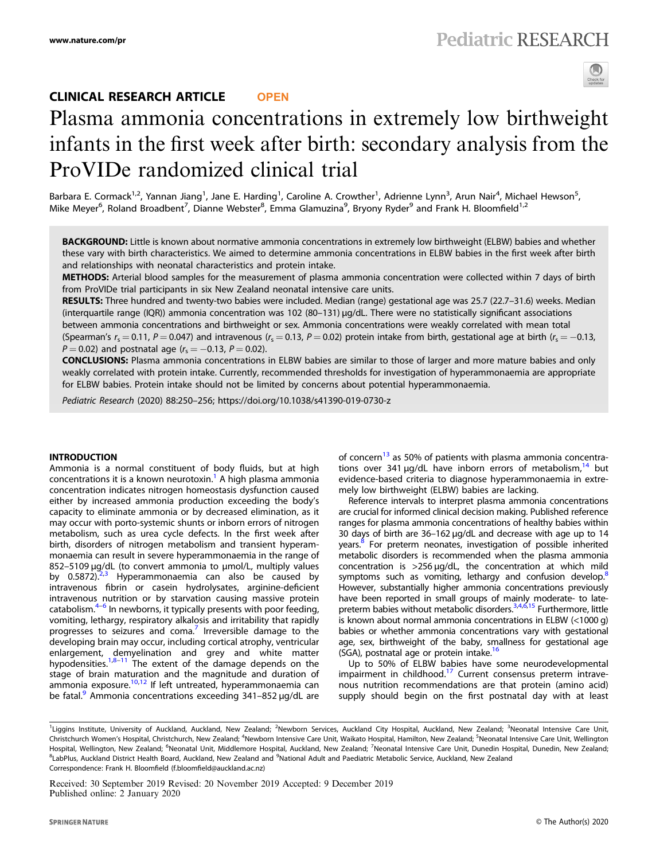# CLINICAL RESEARCH ARTICLE **OPEN**



# Plasma ammonia concentrations in extremely low birthweight infants in the first week after birth: secondary analysis from the ProVIDe randomized clinical trial

Barbara E. Cormack<sup>1,2</sup>, Yannan Jiang<sup>1</sup>, Jane E. Harding<sup>1</sup>, Caroline A. Crowther<sup>1</sup>, Adrienne Lynn<sup>3</sup>, Arun Nair<sup>4</sup>, Michael Hewson<sup>5</sup>, Mike Meyer<sup>6</sup>, Roland Broadbent<sup>7</sup>, Dianne Webster<sup>8</sup>, Emma Glamuzina<sup>9</sup>, Bryony Ryder<sup>9</sup> and Frank H. Bloomfield<sup>1,2</sup>

BACKGROUND: Little is known about normative ammonia concentrations in extremely low birthweight (ELBW) babies and whether these vary with birth characteristics. We aimed to determine ammonia concentrations in ELBW babies in the first week after birth and relationships with neonatal characteristics and protein intake.

METHODS: Arterial blood samples for the measurement of plasma ammonia concentration were collected within 7 days of birth from ProVIDe trial participants in six New Zealand neonatal intensive care units.

RESULTS: Three hundred and twenty-two babies were included. Median (range) gestational age was 25.7 (22.7-31.6) weeks. Median (interquartile range (IQR)) ammonia concentration was 102 (80–131) µg/dL. There were no statistically significant associations

between ammonia concentrations and birthweight or sex. Ammonia concentrations were weakly correlated with mean total (Spearman's  $r_s = 0.11$ ,  $P = 0.047$ ) and intravenous ( $r_s = 0.13$ ,  $P = 0.02$ ) protein intake from birth, gestational age at birth ( $r_s = -0.13$ , P = 0.02) and postnatal age ( $r_s = -0.13$ , P = 0.02).

CONCLUSIONS: Plasma ammonia concentrations in ELBW babies are similar to those of larger and more mature babies and only weakly correlated with protein intake. Currently, recommended thresholds for investigation of hyperammonaemia are appropriate for ELBW babies. Protein intake should not be limited by concerns about potential hyperammonaemia.

Pediatric Research (2020) 88:250–256; https://doi.org/10.1038/s41390-019-0730-z

### INTRODUCTION

Ammonia is a normal constituent of body fluids, but at high concentrations it is a known neurotoxin.<sup>[1](#page-5-0)</sup> A high plasma ammonia concentration indicates nitrogen homeostasis dysfunction caused either by increased ammonia production exceeding the body's capacity to eliminate ammonia or by decreased elimination, as it may occur with porto-systemic shunts or inborn errors of nitrogen metabolism, such as urea cycle defects. In the first week after birth, disorders of nitrogen metabolism and transient hyperammonaemia can result in severe hyperammonaemia in the range of 852-5109 µg/dL (to convert ammonia to µmol/L, multiply values by  $0.5872$ <sup>[2,3](#page-5-0)</sup> Hyperammonaemia can also be caused by intravenous fibrin or casein hydrolysates, arginine-deficient intravenous nutrition or by starvation causing massive protein catabolism.<sup>[4](#page-5-0)–[6](#page-5-0)</sup> In newborns, it typically presents with poor feeding, vomiting, lethargy, respiratory alkalosis and irritability that rapidly progresses to seizures and coma.<sup>[7](#page-5-0)</sup> Irreversible damage to the developing brain may occur, including cortical atrophy, ventricular enlargement, demyelination and grey and white matter hypodensities. $1,8-11$  $1,8-11$  $1,8-11$  The extent of the damage depends on the stage of brain maturation and the magnitude and duration of ammonia exposure.<sup>[10,12](#page-5-0)</sup> If left untreated, hyperammonaemia can be fatal.<sup>[9](#page-5-0)</sup> Ammonia concentrations exceeding  $341-852 \mu$ g/dL are

of concern<sup>[13](#page-5-0)</sup> as 50% of patients with plasma ammonia concentrations over 341  $\mu$ g/dL have inborn errors of metabolism,<sup>[14](#page-5-0)</sup> but evidence-based criteria to diagnose hyperammonaemia in extremely low birthweight (ELBW) babies are lacking.

Reference intervals to interpret plasma ammonia concentrations are crucial for informed clinical decision making. Published reference ranges for plasma ammonia concentrations of healthy babies within 30 days of birth are 36–162 µg/dL and decrease with age up to 14 years.<sup>[8](#page-5-0)</sup> For preterm neonates, investigation of possible inherited metabolic disorders is recommended when the plasma ammonia concentration is >256 µg/dL, the concentration at which mild symptoms such as vomiting, lethargy and confusion develop.<sup>8</sup> However, substantially higher ammonia concentrations previously have been reported in small groups of mainly moderate- to latepreterm babies without metabolic disorders.<sup>3,4,6,15</sup> Furthermore, little is known about normal ammonia concentrations in ELBW (<1000 g) babies or whether ammonia concentrations vary with gestational age, sex, birthweight of the baby, smallness for gestational age (SGA), postnatal age or protein intake.<sup>16</sup>

Up to 50% of ELBW babies have some neurodevelopmental impairment in childhood.<sup>[17](#page-5-0)</sup> Current consensus preterm intravenous nutrition recommendations are that protein (amino acid) supply should begin on the first postnatal day with at least

Received: 30 September 2019 Revised: 20 November 2019 Accepted: 9 December 2019 Published online: 2 January 2020

<sup>&</sup>lt;sup>1</sup>Liggins Institute, University of Auckland, Auckland, New Zealand; <sup>2</sup>Newborn Services, Auckland City Hospital, Auckland, New Zealand; <sup>3</sup>Neonatal Intensive Care Unit, Christchurch Women's Hospital, Christchurch, New Zealand; <sup>4</sup>Newborn Intensive Care Unit, Waikato Hospital, Hamilton, New Zealand; <sup>5</sup>Neonatal Intensive Care Unit, Wellington Hospital, Wellington, New Zealand; <sup>6</sup>Neonatal Unit, Middlemore Hospital, Auckland, New Zealand; <sup>7</sup>Neonatal Intensive Care Unit, Dunedin Hospital, Dunedin, New Zealand; <sup>8</sup>LabPlus, Auckland District Health Board, Auckland, New Zealand and <sup>9</sup>National Adult and Paediatric Metabolic Service, Auckland, New Zealand Correspondence: Frank H. Bloomfield (f.bloomfi[eld@auckland.ac.nz\)](mailto:f.bloomfield@auckland.ac.nz)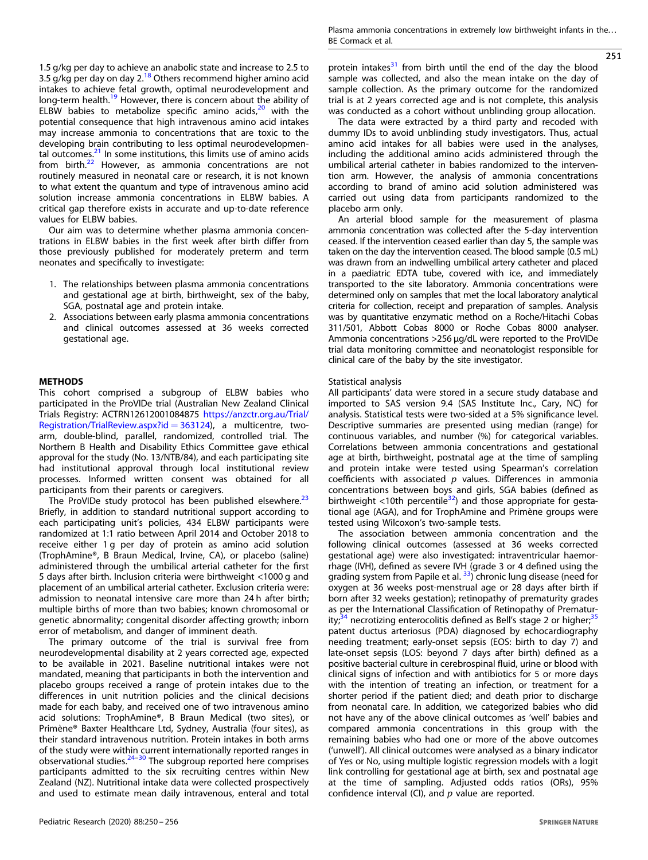251

1.5 g/kg per day to achieve an anabolic state and increase to 2.5 to 3.5 g/kg per day on day 2.<sup>[18](#page-5-0)</sup> Others recommend higher amino acid intakes to achieve fetal growth, optimal neurodevelopment and long-term health.<sup>[19](#page-5-0)</sup> However, there is concern about the ability of ELBW babies to metabolize specific amino acids, $20$  with the potential consequence that high intravenous amino acid intakes may increase ammonia to concentrations that are toxic to the developing brain contributing to less optimal neurodevelopmen-tal outcomes.<sup>[21](#page-5-0)</sup> In some institutions, this limits use of amino acids from birth. $22$  However, as ammonia concentrations are not routinely measured in neonatal care or research, it is not known to what extent the quantum and type of intravenous amino acid solution increase ammonia concentrations in ELBW babies. A critical gap therefore exists in accurate and up-to-date reference values for ELBW babies.

Our aim was to determine whether plasma ammonia concentrations in ELBW babies in the first week after birth differ from those previously published for moderately preterm and term neonates and specifically to investigate:

- 1. The relationships between plasma ammonia concentrations and gestational age at birth, birthweight, sex of the baby, SGA, postnatal age and protein intake.
- 2. Associations between early plasma ammonia concentrations and clinical outcomes assessed at 36 weeks corrected gestational age.

#### **METHODS**

This cohort comprised a subgroup of ELBW babies who participated in the ProVIDe trial (Australian New Zealand Clinical Trials Registry: ACTRN12612001084875 [https://anzctr.org.au/Trial/](https://anzctr.org.au/Trial/Registration/TrialReview.aspx?id=363124) [Registration/TrialReview.aspx?id](https://anzctr.org.au/Trial/Registration/TrialReview.aspx?id=363124)  $=$  363124), a multicentre, twoarm, double-blind, parallel, randomized, controlled trial. The Northern B Health and Disability Ethics Committee gave ethical approval for the study (No. 13/NTB/84), and each participating site had institutional approval through local institutional review processes. Informed written consent was obtained for all participants from their parents or caregivers.

The ProVIDe study protocol has been published elsewhere.<sup>[23](#page-5-0)</sup> Briefly, in addition to standard nutritional support according to each participating unit's policies, 434 ELBW participants were randomized at 1:1 ratio between April 2014 and October 2018 to receive either 1 g per day of protein as amino acid solution (TrophAmine®, B Braun Medical, Irvine, CA), or placebo (saline) administered through the umbilical arterial catheter for the first 5 days after birth. Inclusion criteria were birthweight <1000 g and placement of an umbilical arterial catheter. Exclusion criteria were: admission to neonatal intensive care more than 24 h after birth; multiple births of more than two babies; known chromosomal or genetic abnormality; congenital disorder affecting growth; inborn error of metabolism, and danger of imminent death.

The primary outcome of the trial is survival free from neurodevelopmental disability at 2 years corrected age, expected to be available in 2021. Baseline nutritional intakes were not mandated, meaning that participants in both the intervention and placebo groups received a range of protein intakes due to the differences in unit nutrition policies and the clinical decisions made for each baby, and received one of two intravenous amino acid solutions: TrophAmine®, B Braun Medical (two sites), or Primène® Baxter Healthcare Ltd, Sydney, Australia (four sites), as their standard intravenous nutrition. Protein intakes in both arms of the study were within current internationally reported ranges in observational studies. $24-30$  $24-30$  $24-30$  The subgroup reported here comprises participants admitted to the six recruiting centres within New Zealand (NZ). Nutritional intake data were collected prospectively and used to estimate mean daily intravenous, enteral and total protein intakes $31$  from birth until the end of the day the blood sample was collected, and also the mean intake on the day of sample collection. As the primary outcome for the randomized trial is at 2 years corrected age and is not complete, this analysis was conducted as a cohort without unblinding group allocation.

The data were extracted by a third party and recoded with dummy IDs to avoid unblinding study investigators. Thus, actual amino acid intakes for all babies were used in the analyses, including the additional amino acids administered through the umbilical arterial catheter in babies randomized to the intervention arm. However, the analysis of ammonia concentrations according to brand of amino acid solution administered was carried out using data from participants randomized to the placebo arm only.

An arterial blood sample for the measurement of plasma ammonia concentration was collected after the 5-day intervention ceased. If the intervention ceased earlier than day 5, the sample was taken on the day the intervention ceased. The blood sample (0.5 mL) was drawn from an indwelling umbilical artery catheter and placed in a paediatric EDTA tube, covered with ice, and immediately transported to the site laboratory. Ammonia concentrations were determined only on samples that met the local laboratory analytical criteria for collection, receipt and preparation of samples. Analysis was by quantitative enzymatic method on a Roche/Hitachi Cobas 311/501, Abbott Cobas 8000 or Roche Cobas 8000 analyser. Ammonia concentrations >256 µg/dL were reported to the ProVIDe trial data monitoring committee and neonatologist responsible for clinical care of the baby by the site investigator.

#### Statistical analysis

All participants' data were stored in a secure study database and imported to SAS version 9.4 (SAS Institute Inc., Cary, NC) for analysis. Statistical tests were two-sided at a 5% significance level. Descriptive summaries are presented using median (range) for continuous variables, and number (%) for categorical variables. Correlations between ammonia concentrations and gestational age at birth, birthweight, postnatal age at the time of sampling and protein intake were tested using Spearman's correlation coefficients with associated  $p$  values. Differences in ammonia concentrations between boys and girls, SGA babies (defined as birthweight  $<$ 10th percentile<sup>32</sup>) and those appropriate for gestational age (AGA), and for TrophAmine and Primène groups were tested using Wilcoxon's two-sample tests.

The association between ammonia concentration and the following clinical outcomes (assessed at 36 weeks corrected gestational age) were also investigated: intraventricular haemorrhage (IVH), defined as severe IVH (grade 3 or 4 defined using the grading system from Papile et al.  $^{33}$ ) chronic lung disease (need for oxygen at 36 weeks post-menstrual age or 28 days after birth if born after 32 weeks gestation); retinopathy of prematurity grades as per the International Classification of Retinopathy of Prematur-ity;<sup>[34](#page-5-0)</sup> necrotizing enterocolitis defined as Bell's stage 2 or higher;<sup>31</sup> patent ductus arteriosus (PDA) diagnosed by echocardiography needing treatment; early-onset sepsis (EOS: birth to day 7) and late-onset sepsis (LOS: beyond 7 days after birth) defined as a positive bacterial culture in cerebrospinal fluid, urine or blood with clinical signs of infection and with antibiotics for 5 or more days with the intention of treating an infection, or treatment for a shorter period if the patient died; and death prior to discharge from neonatal care. In addition, we categorized babies who did not have any of the above clinical outcomes as 'well' babies and compared ammonia concentrations in this group with the remaining babies who had one or more of the above outcomes ('unwell'). All clinical outcomes were analysed as a binary indicator of Yes or No, using multiple logistic regression models with a logit link controlling for gestational age at birth, sex and postnatal age at the time of sampling. Adjusted odds ratios (ORs), 95% confidence interval (CI), and  $p$  value are reported.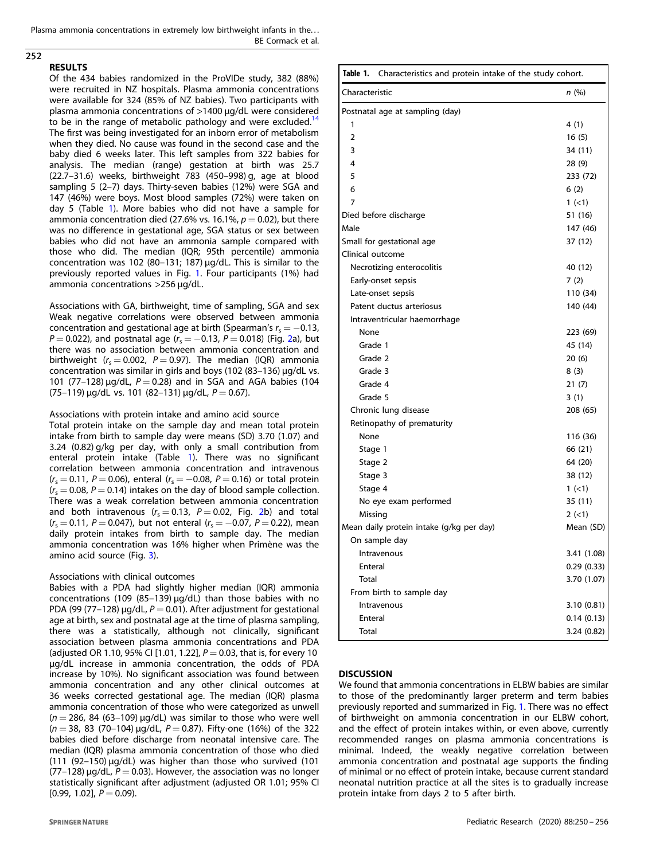Plasma ammonia concentrations in extremely low birthweight infants in the... BE Cormack et al.

# 252

#### RESULTS

Of the 434 babies randomized in the ProVIDe study, 382 (88%) were recruited in NZ hospitals. Plasma ammonia concentrations were available for 324 (85% of NZ babies). Two participants with plasma ammonia concentrations of >1400 µg/dL were considered to be in the range of metabolic pathology and were excluded.<sup>12</sup> The first was being investigated for an inborn error of metabolism when they died. No cause was found in the second case and the baby died 6 weeks later. This left samples from 322 babies for analysis. The median (range) gestation at birth was 25.7 (22.7–31.6) weeks, birthweight 783 (450–998) g, age at blood sampling 5 (2–7) days. Thirty-seven babies (12%) were SGA and 147 (46%) were boys. Most blood samples (72%) were taken on day 5 (Table 1). More babies who did not have a sample for ammonia concentration died (27.6% vs. 16.1%,  $p = 0.02$ ), but there was no difference in gestational age, SGA status or sex between babies who did not have an ammonia sample compared with those who did. The median (IQR; 95th percentile) ammonia concentration was 102 (80–131; 187) µg/dL. This is similar to the previously reported values in Fig. [1](#page-3-0). Four participants (1%) had ammonia concentrations >256 µg/dL.

Associations with GA, birthweight, time of sampling, SGA and sex Weak negative correlations were observed between ammonia concentration and gestational age at birth (Spearman's  $r_s = -0.13$ ,  $P = 0.022$  $P = 0.022$  $P = 0.022$ ), and postnatal age ( $r_s = -0.13$ ,  $P = 0.018$ ) (Fig. 2a), but there was no association between ammonia concentration and birthweight ( $r_s = 0.002$ ,  $P = 0.97$ ). The median (IQR) ammonia concentration was similar in girls and boys (102 (83–136) µg/dL vs. 101 (77–128)  $\mu q/dL$ ,  $P = 0.28$ ) and in SGA and AGA babies (104  $(75-119) \mu q/dL$  vs. 101  $(82-131) \mu q/dL$ ,  $P = 0.67$ ).

Associations with protein intake and amino acid source Total protein intake on the sample day and mean total protein intake from birth to sample day were means (SD) 3.70 (1.07) and 3.24 (0.82) g/kg per day, with only a small contribution from enteral protein intake (Table 1). There was no significant correlation between ammonia concentration and intravenous  $(r_s = 0.11, P = 0.06)$ , enteral  $(r_s = -0.08, P = 0.16)$  or total protein  $(r<sub>s</sub> = 0.08, P = 0.14)$  intakes on the day of blood sample collection. There was a weak correlation between ammonia concentration and both intravenous ( $r_s = 0.13$ ,  $P = 0.02$ , Fig. [2b](#page-4-0)) and total  $(r<sub>s</sub> = 0.11, P = 0.047)$ , but not enteral  $(r<sub>s</sub> = -0.07, P = 0.22)$ , mean daily protein intakes from birth to sample day. The median ammonia concentration was 16% higher when Primène was the amino acid source (Fig. [3](#page-4-0)).

#### Associations with clinical outcomes

Babies with a PDA had slightly higher median (IQR) ammonia concentrations (109 (85-139) µg/dL) than those babies with no PDA (99 (77–128) µg/dL,  $P = 0.01$ ). After adjustment for gestational age at birth, sex and postnatal age at the time of plasma sampling, there was a statistically, although not clinically, significant association between plasma ammonia concentrations and PDA (adjusted OR 1.10, 95% CI [1.01, 1.22],  $P = 0.03$ , that is, for every 10 µg/dL increase in ammonia concentration, the odds of PDA increase by 10%). No significant association was found between ammonia concentration and any other clinical outcomes at 36 weeks corrected gestational age. The median (IQR) plasma ammonia concentration of those who were categorized as unwell  $(n = 286, 84 (63-109) \mu g/dL)$  was similar to those who were well  $(n = 38, 83 (70-104) \mu g/dL, P = 0.87)$ . Fifty-one (16%) of the 322 babies died before discharge from neonatal intensive care. The median (IQR) plasma ammonia concentration of those who died (111 (92–150) µg/dL) was higher than those who survived (101 (77–128)  $\mu$ g/dL, P = 0.03). However, the association was no longer statistically significant after adjustment (adjusted OR 1.01; 95% CI  $[0.99, 1.02]$ ,  $P = 0.09$ ).

| Table 1.<br>Characteristics and protein intake of the study cohort. |             |
|---------------------------------------------------------------------|-------------|
| Characteristic                                                      | n(%)        |
| Postnatal age at sampling (day)                                     |             |
| 1                                                                   | 4 (1)       |
| $\overline{2}$                                                      | 16(5)       |
| 3                                                                   | 34 (11)     |
| 4                                                                   | 28 (9)      |
| 5                                                                   | 233 (72)    |
| 6                                                                   | 6(2)        |
| 7                                                                   | $1 (-1)$    |
| Died before discharge                                               | 51 (16)     |
| Male                                                                | 147 (46)    |
| Small for gestational age                                           | 37 (12)     |
| Clinical outcome                                                    |             |
| Necrotizing enterocolitis                                           | 40 (12)     |
| Early-onset sepsis                                                  | 7(2)        |
| Late-onset sepsis                                                   | 110 (34)    |
| Patent ductus arteriosus                                            | 140 (44)    |
| Intraventricular haemorrhage                                        |             |
| None                                                                | 223 (69)    |
| Grade 1                                                             | 45 (14)     |
| Grade 2                                                             | 20(6)       |
| Grade 3                                                             | 8(3)        |
| Grade 4                                                             | 21(7)       |
| Grade 5                                                             | 3(1)        |
| Chronic lung disease                                                | 208 (65)    |
| Retinopathy of prematurity                                          |             |
| None                                                                | 116 (36)    |
| Stage 1                                                             | 66 (21)     |
| Stage 2                                                             | 64 (20)     |
| Stage 3                                                             | 38 (12)     |
| Stage 4                                                             | 1 (< 1)     |
| No eye exam performed                                               | 35 (11)     |
| Missing                                                             | $2 (-1)$    |
| Mean daily protein intake (g/kg per day)                            | Mean (SD)   |
| On sample day                                                       |             |
| Intravenous                                                         | 3.41 (1.08) |
| Enteral                                                             | 0.29(0.33)  |
| Total                                                               | 3.70 (1.07) |
| From birth to sample day                                            |             |
| Intravenous                                                         | 3.10(0.81)  |
| Enteral                                                             | 0.14(0.13)  |
| Total                                                               | 3.24 (0.82) |

#### **DISCUSSION**

We found that ammonia concentrations in ELBW babies are similar to those of the predominantly larger preterm and term babies previously reported and summarized in Fig. [1.](#page-3-0) There was no effect of birthweight on ammonia concentration in our ELBW cohort, and the effect of protein intakes within, or even above, currently recommended ranges on plasma ammonia concentrations is minimal. Indeed, the weakly negative correlation between ammonia concentration and postnatal age supports the finding of minimal or no effect of protein intake, because current standard neonatal nutrition practice at all the sites is to gradually increase protein intake from days 2 to 5 after birth.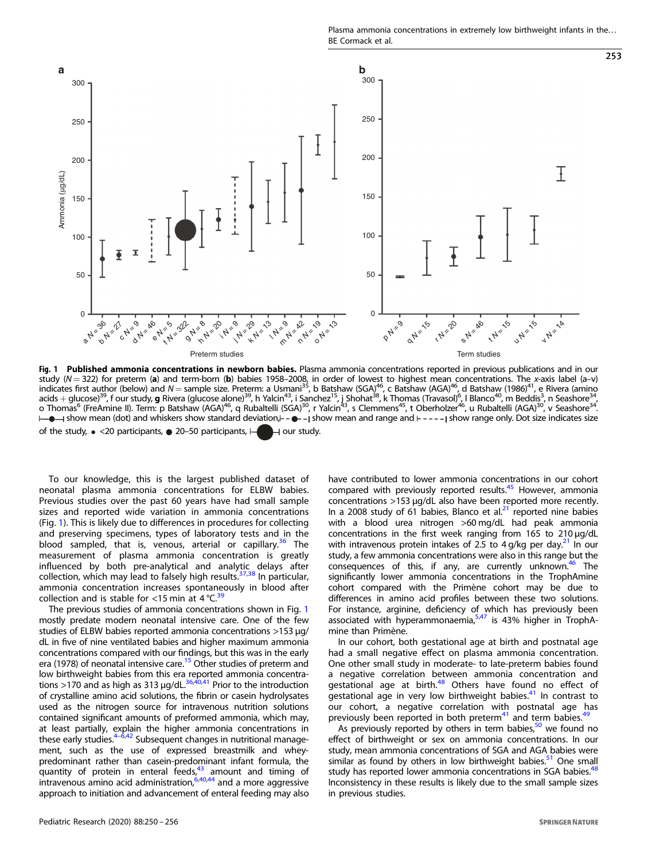Plasma ammonia concentrations in extremely low birthweight infants in the... BE Cormack et al.

253

<span id="page-3-0"></span>

**Fig. 1 Published ammonia concentrations in newborn babies.** Plasma ammonia concentrations reported in previous publications and in our<br>study (N = 322) for preterm (**a**) and term-born (**b**) babies 1958–2008, in order of lo acids  $+$  glucose) $^{39}$ , f our study, **g** Rivera (glucose alone) $^{39}$ , h Yalcin $^{43}$ , i Sanchez $^{15}$ , i Shohat $^{38}$ , k Thomas (Travasol) $^{6}$ , I Blanco<sup>40</sup>, m Beddis $^{3}$ , n Seashore $^{34}$ , o Thomas<sup>6</sup> (FreAmine II). Term: p Batshaw (AGA)<sup>46</sup>, q Rubaltelli (SGA)<sup>30</sup>, r Yalcin<sup>43</sup>, s Clemmens<sup>45</sup>, t Oberholzer<sup>46</sup>, u Rubaltelli (AGA)<sup>30</sup>, v Seashore<sup>34</sup>.  $\mapsto$  show mean (dot) and whiskers show standard deviation,  $\mapsto$  -  $\mapsto$  show mean and range and  $\mapsto$  -  $\mapsto$  show range only. Dot size indicates size of the study,  $\bullet$  <20 participants,  $\bullet$  20–50 participants,  $\vdash \Box$  our study.

To our knowledge, this is the largest published dataset of neonatal plasma ammonia concentrations for ELBW babies. Previous studies over the past 60 years have had small sample sizes and reported wide variation in ammonia concentrations (Fig. 1). This is likely due to differences in procedures for collecting and preserving specimens, types of laboratory tests and in the blood sampled, that is, venous, arterial or capillary.<sup>[36](#page-5-0)</sup> The measurement of plasma ammonia concentration is greatly influenced by both pre-analytical and analytic delays after collection, which may lead to falsely high results.<sup>[37,38](#page-5-0)</sup> In particular, ammonia concentration increases spontaneously in blood after collection and is stable for <15 min at  $4^{\circ}$ C.<sup>[39](#page-5-0)</sup>

The previous studies of ammonia concentrations shown in Fig. 1 mostly predate modern neonatal intensive care. One of the few studies of ELBW babies reported ammonia concentrations >153 µg/ dL in five of nine ventilated babies and higher maximum ammonia concentrations compared with our findings, but this was in the early era (1978) of neonatal intensive care.<sup>15</sup> Other studies of preterm and low birthweight babies from this era reported ammonia concentra-<br>tions >170 and as high as 313 µg/dL.<sup>[36,40,41](#page-5-0)</sup> Prior to the introduction of crystalline amino acid solutions, the fibrin or casein hydrolysates used as the nitrogen source for intravenous nutrition solutions contained significant amounts of preformed ammonia, which may, at least partially, explain the higher ammonia concentrations in<br>these early studies.<sup>[4](#page-5-0)–[6,42](#page-5-0)</sup> Subsequent changes in nutritional management, such as the use of expressed breastmilk and wheypredominant rather than casein-predominant infant formula, the quantity of protein in enteral feeds, $43$  amount and timing of intravenous amino acid administration,[6,40,44](#page-5-0) and a more aggressive approach to initiation and advancement of enteral feeding may also

significantly lower ammonia concentrations in the TrophAmine cohort compared with the Primène cohort may be due to differences in amino acid profiles between these two solutions. For instance, arginine, deficiency of which has previously been associated with hyperammonaemia, $5,47$  is 43% higher in TrophAmine than Primène. In our cohort, both gestational age at birth and postnatal age had a small negative effect on plasma ammonia concentration. One other small study in moderate- to late-preterm babies found a negative correlation between ammonia concentration and gestational age at birth.<sup>[48](#page-6-0)</sup> Others have found no effect of gestational age in very low birthweight babies. $41$  In contrast to our cohort, a negative correlation with postnatal age has previously been reported in both preterm $41$  and term babies. $49$ 

> As previously reported by others in term babies, $50$  we found no effect of birthweight or sex on ammonia concentrations. In our study, mean ammonia concentrations of SGA and AGA babies were similar as found by others in low birthweight babies.<sup>51</sup> One small study has reported lower ammonia concentrations in SGA babies.<sup>48</sup> Inconsistency in these results is likely due to the small sample sizes in previous studies.

> have contributed to lower ammonia concentrations in our cohort compared with previously reported results.<sup>45</sup> However, ammonia concentrations >153 µg/dL also have been reported more recently. In a 2008 study of 61 babies, Blanco et al. $21$  reported nine babies with a blood urea nitrogen >60 mg/dL had peak ammonia concentrations in the first week ranging from 165 to 210 µg/dL with intravenous protein intakes of 2.5 to  $4$  g/kg per day.<sup>21</sup> In our study, a few ammonia concentrations were also in this range but the consequences of this, if any, are currently unknown.<sup>[46](#page-5-0)</sup> The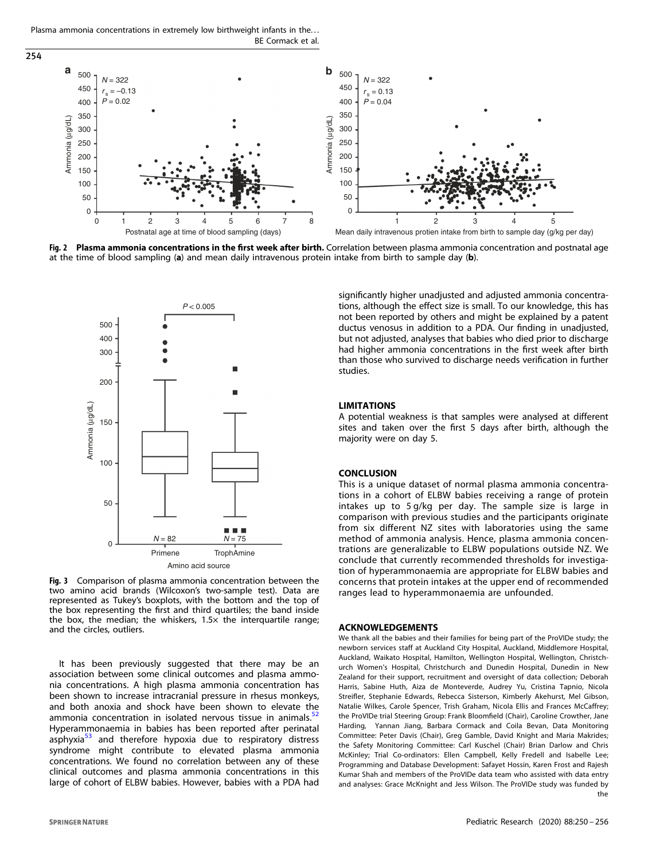<span id="page-4-0"></span>Plasma ammonia concentrations in extremely low birthweight infants in the... BE Cormack et al.



Fig. 2 Plasma ammonia concentrations in the first week after birth. Correlation between plasma ammonia concentration and postnatal age at the time of blood sampling (a) and mean daily intravenous protein intake from birth to sample day (b).



Fig. 3 Comparison of plasma ammonia concentration between the two amino acid brands (Wilcoxon's two-sample test). Data are represented as Tukey's boxplots, with the bottom and the top of the box representing the first and third quartiles; the band inside the box, the median; the whiskers,  $1.5\times$  the interquartile range; and the circles, outliers.

It has been previously suggested that there may be an association between some clinical outcomes and plasma ammonia concentrations. A high plasma ammonia concentration has been shown to increase intracranial pressure in rhesus monkeys, and both anoxia and shock have been shown to elevate the ammonia concentration in isolated nervous tissue in animals.<sup>[52](#page-6-0)</sup> Hyperammonaemia in babies has been reported after perinatal asphyxia<sup>[53](#page-6-0)</sup> and therefore hypoxia due to respiratory distress syndrome might contribute to elevated plasma ammonia concentrations. We found no correlation between any of these clinical outcomes and plasma ammonia concentrations in this large of cohort of ELBW babies. However, babies with a PDA had significantly higher unadjusted and adjusted ammonia concentrations, although the effect size is small. To our knowledge, this has not been reported by others and might be explained by a patent ductus venosus in addition to a PDA. Our finding in unadjusted, but not adjusted, analyses that babies who died prior to discharge had higher ammonia concentrations in the first week after birth than those who survived to discharge needs verification in further studies.

#### LIMITATIONS

A potential weakness is that samples were analysed at different sites and taken over the first 5 days after birth, although the majority were on day 5.

#### **CONCLUSION**

This is a unique dataset of normal plasma ammonia concentrations in a cohort of ELBW babies receiving a range of protein intakes up to 5 g/kg per day. The sample size is large in comparison with previous studies and the participants originate from six different NZ sites with laboratories using the same method of ammonia analysis. Hence, plasma ammonia concentrations are generalizable to ELBW populations outside NZ. We conclude that currently recommended thresholds for investigation of hyperammonaemia are appropriate for ELBW babies and concerns that protein intakes at the upper end of recommended ranges lead to hyperammonaemia are unfounded.

#### ACKNOWLEDGEMENTS

We thank all the babies and their families for being part of the ProVIDe study; the newborn services staff at Auckland City Hospital, Auckland, Middlemore Hospital, Auckland, Waikato Hospital, Hamilton, Wellington Hospital, Wellington, Christchurch Women's Hospital, Christchurch and Dunedin Hospital, Dunedin in New Zealand for their support, recruitment and oversight of data collection; Deborah Harris, Sabine Huth, Aiza de Monteverde, Audrey Yu, Cristina Tapnio, Nicola Streifler, Stephanie Edwards, Rebecca Sisterson, Kimberly Akehurst, Mel Gibson, Natalie Wilkes, Carole Spencer, Trish Graham, Nicola Ellis and Frances McCaffrey; the ProVIDe trial Steering Group: Frank Bloomfield (Chair), Caroline Crowther, Jane Harding, Yannan Jiang, Barbara Cormack and Coila Bevan, Data Monitoring Committee: Peter Davis (Chair), Greg Gamble, David Knight and Maria Makrides; the Safety Monitoring Committee: Carl Kuschel (Chair) Brian Darlow and Chris McKinley; Trial Co-ordinators: Ellen Campbell, Kelly Fredell and Isabelle Lee; Programming and Database Development: Safayet Hossin, Karen Frost and Rajesh Kumar Shah and members of the ProVIDe data team who assisted with data entry and analyses: Grace McKnight and Jess Wilson. The ProVIDe study was funded by the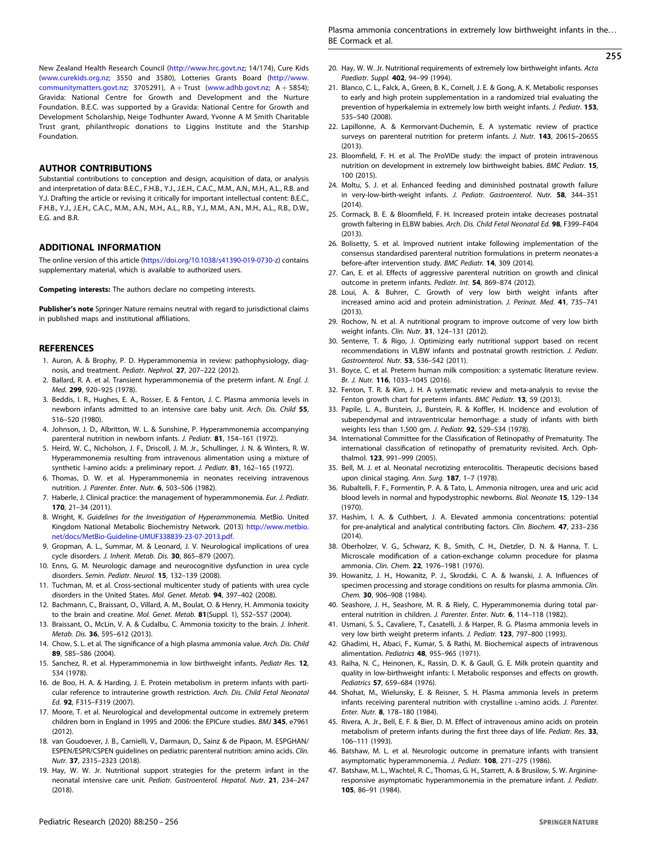<span id="page-5-0"></span>New Zealand Health Research Council (<http://www.hrc.govt.nz>; 14/174), Cure Kids ([www.curekids.org.nz](http://www.curekids.org.nz); 3550 and 3580), Lotteries Grants Board ([http://www.](http://www.communitymatters.govt.nz) [communitymatters.govt.nz;](http://www.communitymatters.govt.nz) 3705291),  $A + Trust$  ([www.adhb.govt.nz](http://www.adhb.govt.nz);  $A + 5854$ ); Gravida: National Centre for Growth and Development and the Nurture Foundation. B.E.C. was supported by a Gravida: National Centre for Growth and Development Scholarship, Neige Todhunter Award, Yvonne A M Smith Charitable Trust grant, philanthropic donations to Liggins Institute and the Starship Foundation.

#### AUTHOR CONTRIBUTIONS

Substantial contributions to conception and design, acquisition of data, or analysis and interpretation of data: B.E.C., F.H.B., Y.J., J.E.H., C.A.C., M.M., A.N., M.H., A.L., R.B. and Y.J. Drafting the article or revising it critically for important intellectual content: B.E.C., F.H.B., Y.J., J.E.H., C.A.C., M.M., A.N., M.H., A.L., R.B., Y.J., M.M., A.N., M.H., A.L., R.B., D.W., E.G. and B.R.

#### ADDITIONAL INFORMATION

The online version of this article ([https://doi.org/10.1038/s41390-019-0730-z\)](https://doi.org/10.1038/s41390-019-0730-z) contains supplementary material, which is available to authorized users.

Competing interests: The authors declare no competing interests.

Publisher's note Springer Nature remains neutral with regard to jurisdictional claims in published maps and institutional affiliations.

#### **REFERENCES**

- 1. Auron, A. & Brophy, P. D. Hyperammonemia in review: pathophysiology, diagnosis, and treatment. Pediatr. Nephrol. 27, 207–222 (2012).
- 2. Ballard, R. A. et al. Transient hyperammonemia of the preterm infant. N. Engl. J. Med. 299, 920–925 (1978).
- 3. Beddis, I. R., Hughes, E. A., Rosser, E. & Fenton, J. C. Plasma ammonia levels in newborn infants admitted to an intensive care baby unit. Arch. Dis. Child 55, 516–520 (1980).
- 4. Johnson, J. D., Albritton, W. L. & Sunshine, P. Hyperammonemia accompanying parenteral nutrition in newborn infants. J. Pediatr. 81, 154–161 (1972).
- 5. Heird, W. C., Nicholson, J. F., Driscoll, J. M. Jr., Schullinger, J. N. & Winters, R. W. Hyperammonemia resulting from intravenous alimentation using a mixture of synthetic l-amino acids: a preliminary report. J. Pediatr. 81, 162-165 (1972).
- 6. Thomas, D. W. et al. Hyperammonemia in neonates receiving intravenous nutrition. J. Parenter. Enter. Nutr. 6, 503–506 (1982).
- 7. Haberle, J. Clinical practice: the management of hyperammonemia. Eur. J. Pediatr. 170, 21–34 (2011).
- 8. Wright, K. Guidelines for the Investigation of Hyperammonemia. MetBio. United Kingdom National Metabolic Biochemistry Network. (2013) [http://www.metbio.](http://www.metbio.net/docs/MetBio-Guideline-UMUF338839-23-07-2013.pdf) [net/docs/MetBio-Guideline-UMUF338839-23-07-2013.pdf.](http://www.metbio.net/docs/MetBio-Guideline-UMUF338839-23-07-2013.pdf)
- 9. Gropman, A. L., Summar, M. & Leonard, J. V. Neurological implications of urea cycle disorders. J. Inherit. Metab. Dis. 30, 865–879 (2007).
- 10. Enns, G. M. Neurologic damage and neurocognitive dysfunction in urea cycle disorders. Semin. Pediatr. Neurol. 15, 132–139 (2008).
- 11. Tuchman, M. et al. Cross-sectional multicenter study of patients with urea cycle disorders in the United States. Mol. Genet. Metab. 94, 397–402 (2008).
- 12. Bachmann, C., Braissant, O., Villard, A. M., Boulat, O. & Henry, H. Ammonia toxicity to the brain and creatine. Mol. Genet. Metab. 81(Suppl. 1), S52–S57 (2004).
- 13. Braissant, O., McLin, V. A. & Cudalbu, C. Ammonia toxicity to the brain. J. Inherit. Metab. Dis. 36, 595–612 (2013).
- 14. Chow, S. L. et al. The significance of a high plasma ammonia value. Arch. Dis. Child 89, 585–586 (2004).
- 15. Sanchez, R. et al. Hyperammonemia in low birthweight infants. Pediatr Res. 12, 534 (1978).
- 16. de Boo, H. A. & Harding, J. E. Protein metabolism in preterm infants with particular reference to intrauterine growth restriction. Arch. Dis. Child Fetal Neonatal Ed. 92, F315–F319 (2007).
- 17. Moore, T. et al. Neurological and developmental outcome in extremely preterm children born in England in 1995 and 2006: the EPICure studies. BMJ 345, e7961 (2012).
- 18. van Goudoever, J. B., Carnielli, V., Darmaun, D., Sainz & de Pipaon, M. ESPGHAN/ ESPEN/ESPR/CSPEN guidelines on pediatric parenteral nutrition: amino acids. Clin. Nutr. 37, 2315–2323 (2018).
- 19. Hay, W. W. Jr. Nutritional support strategies for the preterm infant in the neonatal intensive care unit. Pediatr. Gastroenterol. Hepatol. Nutr. 21, 234–247 (2018).

## 255

- 20. Hay, W. W. Jr. Nutritional requirements of extremely low birthweight infants. Acta Paediatr. Suppl. 402, 94–99 (1994).
- 21. Blanco, C. L., Falck, A., Green, B. K., Cornell, J. E. & Gong, A. K. Metabolic responses to early and high protein supplementation in a randomized trial evaluating the prevention of hyperkalemia in extremely low birth weight infants. J. Pediatr. 153, 535–540 (2008).
- 22. Lapillonne, A. & Kermorvant-Duchemin, E. A systematic review of practice surveys on parenteral nutrition for preterm infants. J. Nutr. 143, 2061S-2065S (2013).
- 23. Bloomfield, F. H. et al. The ProVIDe study: the impact of protein intravenous nutrition on development in extremely low birthweight babies. BMC Pediatr. 15, 100 (2015).
- 24. Moltu, S. J. et al. Enhanced feeding and diminished postnatal growth failure in very-low-birth-weight infants. J. Pediatr. Gastroenterol. Nutr. 58, 344–351 (2014).
- 25. Cormack, B. E. & Bloomfield, F. H. Increased protein intake decreases postnatal growth faltering in ELBW babies. Arch. Dis. Child Fetal Neonatal Ed. 98, F399–F404  $(2013)$
- 26. Bolisetty, S. et al. Improved nutrient intake following implementation of the consensus standardised parenteral nutrition formulations in preterm neonates-a before-after intervention study. BMC Pediatr. 14, 309 (2014).
- 27. Can, E. et al. Effects of aggressive parenteral nutrition on growth and clinical outcome in preterm infants. Pediatr. Int. 54, 869–874 (2012).
- 28. Loui, A. & Buhrer, C. Growth of very low birth weight infants after increased amino acid and protein administration. J. Perinat. Med. 41, 735–741 (2013).
- 29. Rochow, N. et al. A nutritional program to improve outcome of very low birth weight infants. Clin. Nutr. 31, 124-131 (2012).
- 30. Senterre, T. & Rigo, J. Optimizing early nutritional support based on recent recommendations in VLBW infants and postnatal growth restriction. J. Pediatr. Gastroenterol. Nutr. 53, 536-542 (2011).
- 31. Boyce, C. et al. Preterm human milk composition: a systematic literature review. Br. J. Nutr. 116, 1033–1045 (2016).
- 32. Fenton, T. R. & Kim, J. H. A systematic review and meta-analysis to revise the Fenton growth chart for preterm infants. BMC Pediatr. 13, 59 (2013).
- 33. Papile, L. A., Burstein, J., Burstein, R. & Koffler, H. Incidence and evolution of subependymal and intraventricular hemorrhage: a study of infants with birth weights less than 1,500 gm. J. Pediatr. 92, 529-534 (1978).
- 34. International Committee for the Classification of Retinopathy of Prematurity. The international classification of retinopathy of prematurity revisited. Arch. Ophthalmol. 123, 991-999 (2005).
- 35. Bell, M. J. et al. Neonatal necrotizing enterocolitis. Therapeutic decisions based upon clinical staging. Ann. Surg. 187, 1–7 (1978).
- 36. Rubaltelli, F. F., Formentin, P. A. & Tato, L. Ammonia nitrogen, urea and uric acid blood levels in normal and hypodystrophic newborns. Biol. Neonate 15, 129–134 (1970).
- 37. Hashim, I. A. & Cuthbert, J. A. Elevated ammonia concentrations: potential for pre-analytical and analytical contributing factors. Clin. Biochem. 47, 233–236 (2014).
- 38. Oberholzer, V. G., Schwarz, K. B., Smith, C. H., Dietzler, D. N. & Hanna, T. L. Microscale modification of a cation-exchange column procedure for plasma ammonia. Clin. Chem. 22, 1976–1981 (1976).
- 39. Howanitz, J. H., Howanitz, P. J., Skrodzki, C. A. & Iwanski, J. A. Influences of specimen processing and storage conditions on results for plasma ammonia. Clin. Chem. 30, 906–908 (1984).
- 40. Seashore, J. H., Seashore, M. R. & Riely, C. Hyperammonemia during total parenteral nutrition in children. J. Parenter. Enter. Nutr. 6, 114-118 (1982).
- 41. Usmani, S. S., Cavaliere, T., Casatelli, J. & Harper, R. G. Plasma ammonia levels in very low birth weight preterm infants. J. Pediatr. 123, 797–800 (1993).
- 42. Ghadimi, H., Abaci, F., Kumar, S. & Rathi, M. Biochemical aspects of intravenous alimentation. Pediatrics 48, 955–965 (1971).
- 43. Raiha, N. C., Heinonen, K., Rassin, D. K. & Gaull, G. E. Milk protein quantity and quality in low-birthweight infants: I. Metabolic responses and effects on growth. Pediatrics 57, 659–684 (1976).
- 44. Shohat, M., Wielunsky, E. & Reisner, S. H. Plasma ammonia levels in preterm infants receiving parenteral nutrition with crystalline L-amino acids. J. Parenter. Enter. Nutr. 8, 178–180 (1984).
- 45. Rivera, A. Jr., Bell, E. F. & Bier, D. M. Effect of intravenous amino acids on protein metabolism of preterm infants during the first three days of life. Pediatr. Res. 33, 106–111 (1993).
- 46. Batshaw, M. L. et al. Neurologic outcome in premature infants with transient asymptomatic hyperammonemia. J. Pediatr. 108, 271–275 (1986).
- 47. Batshaw, M. L., Wachtel, R. C., Thomas, G. H., Starrett, A. & Brusilow, S. W. Arginineresponsive asymptomatic hyperammonemia in the premature infant. J. Pediatr. 105, 86–91 (1984).